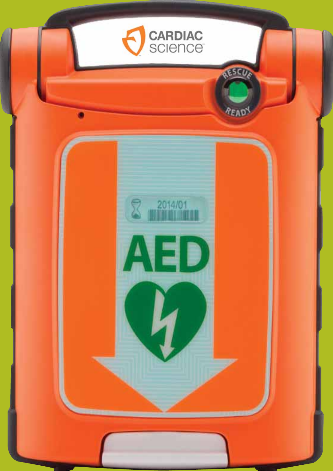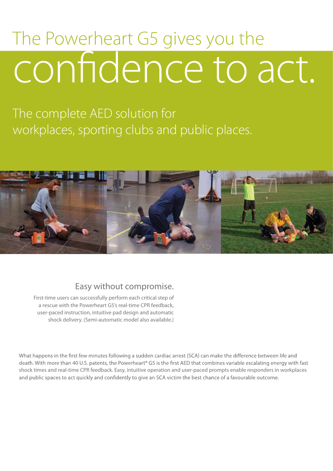# The Powerheart G5 gives you the confidence to act.

The complete AED solution for workplaces, sporting clubs and public places.



## Easy without compromise.

First-time users can successfully perform each critical step of a rescue with the Powerheart G5's real-time CPR feedback, user-paced instruction, intuitive pad design and automatic shock delivery. (Semi-automatic model also available.)

What happens in the first few minutes following a sudden cardiac arrest (SCA) can make the difference between life and death. With more than 40 U.S. patents, the Powerheart® G5 is the first AED that combines variable escalating energy with fast shock times and real-time CPR feedback. Easy, intuitive operation and user-paced prompts enable responders in workplaces and public spaces to act quickly and confidently to give an SCA victim the best chance of a favourable outcome.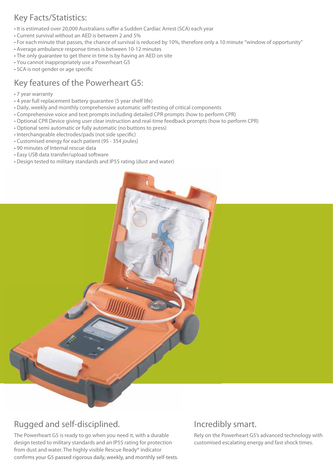## **Key Facts/Statistics:**

- . It is estimated over 20,000 Australians suffer a Sudden Cardiac Arrest (SCA) each year
- Current survival without an AED is between 2 and 5%
- For each minute that passes, the chance of survival is reduced by 10%, therefore only a 10 minute "window of opportunity"
- Average ambulance response times is between 10-12 minutes
- The only guarantee to get there in time is by having an AED on site
- . You cannot inappropriately use a Powerheart G5
- · SCA is not gender or age specific

## Key features of the Powerheart G5:

- 7 year warranty
- 4 year full replacement battery quarantee (5 year shelf life)
- . Daily, weekly and monthly comprehensive automatic self-testing of critical components
- Comprehensive voice and text prompts including detailed CPR prompts (how to perform CPR)
- . Optional CPR Device giving user clear instruction and real-time feedback prompts (how to perform CPR)
- Optional semi automatic or fully automatic (no buttons to press)
- · Interchangeable electrodes/pads (not side specific)
- Customised energy for each patient (95 354 joules)
- 90 minutes of Internal rescue data
- Easy USB data transfer/upload software
- Design tested to military standards and IP55 rating (dust and water)

## Rugged and self-disciplined.

The Powerheart G5 is ready to go when you need it, with a durable design tested to military standards and an IP55 rating for protection from dust and water. The highly visible Rescue Ready® indicator confirms your G5 passed rigorous daily, weekly, and monthly self-tests.

### Incredibly smart.

Rely on the Powerheart G5's advanced technology with customised escalating energy and fast shock times.